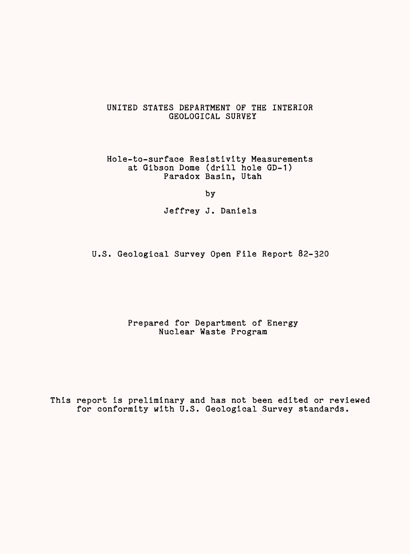# UNITED STATES DEPARTMENT OF THE INTERIOR GEOLOGICAL SURVEY

Hole-to-surface Resistivity Measurements at Gibson Dome (drill hole GD-1) Paradox Basin, Utah

by

Jeffrey J. Daniels

U.S. Geological Survey Open File Report 82-320

Prepared for Department of Energy Nuclear Waste Program

This report is preliminary and has not been edited or reviewed for conformity with U.S. Geological Survey standards.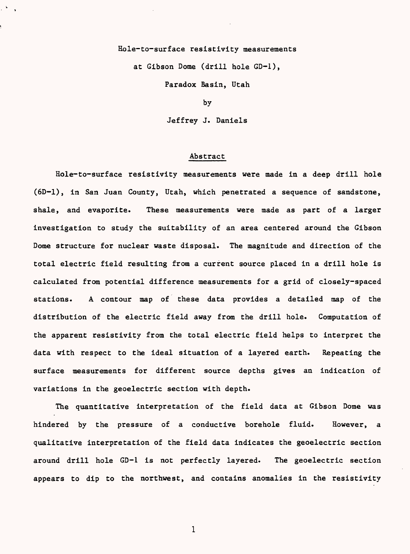# Hole-to-surface resistivity measurements

at Gibson Dome (drill hole GD-1),

Paradox Basin, Utah

by

Jeffrey J. Daniels

### Abstract

Hole-to-surface resistivity measurements were made in a deep drill hole (6D-1), in San Juan County, Utah, which penetrated a sequence of sandstone, shale, and evaporite. These measurements were made as part of a larger investigation to study the suitability of an area centered around the Gibson Dome structure for nuclear waste disposal. The magnitude and direction of the total electric field resulting from a current source placed in a drill hole is calculated from potential difference measurements for a grid of closely-spaced stations. A contour map of these data provides a detailed map of the distribution of the electric field away from the drill hole. Computation of the apparent resistivity from the total electric field helps to interpret the data with respect to the ideal situation of a layered earth. Repeating the surface measurements for different source depths gives an indication of variations in the geoelectric section with depth.

The quantitative interpretation of the field data at Gibson Dome was hindered by the pressure of a conductive borehole fluid. However, a qualitative interpretation of the field data indicates the geoelectric section around drill hole GD-1 is not perfectly layered. The geoelectric section appears to dip to the northwest, and contains anomalies in the resistivity

 $\mathbf{1}$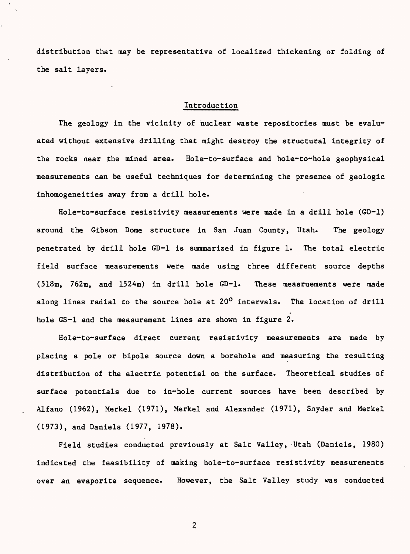distribution that may be representative of localized thickening or folding of the salt layers.

### Introduction

The geology in the vicinity of nuclear waste repositories must be evaluated without extensive drilling that might destroy the structural integrity of the rocks near the mined area. Hole-to-surface and hole-to-hole geophysical measurements can be useful techniques for determining the presence of geologic inhomogeneities away from a drill hole.

Hole-to-surface resistivity measurements were made in a drill hole (GD-1) around the Gibson Dome structure in San Juan County, Utah. The geology penetrated by drill hole GD-1 is summarized in figure 1. The total electric field surface measurements were made using three different source depths (518m, 762m, and 1524m) in drill hole GD-1. These measruements were made along lines radial to the source hole at 20<sup>0</sup> intervals. The location of drill hole GS-1 and the measurement lines are shown in figure 2.

Hole-to-surface direct current resistivity measurements are made by placing a pole or bipole source down a borehole and measuring the resulting distribution of the electric potential on the surface. Theoretical studies of surface potentials due to in-hole current sources have been described by Alfano (1962), Merkel (1971), Merkel and Alexander (1971), Snyder and Merkel (1973), and Daniels (1977, 1978).

Field studies conducted previously at Salt Valley, Utah (Daniels, 1980) indicated the feasibility of making hole-to-surface resistivity measurements over an evaporite sequence. However, the Salt Valley study was conducted

 $\overline{c}$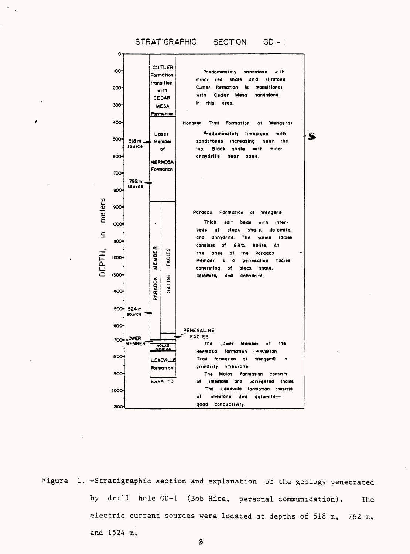



Figure 1.-Stratigraphic section and explanation of the geology penetrated. by drill hole GD-1 (Bob Hite, personal communication). The electric current sources were located at depths of 518 m, 762 m, and 1524 m.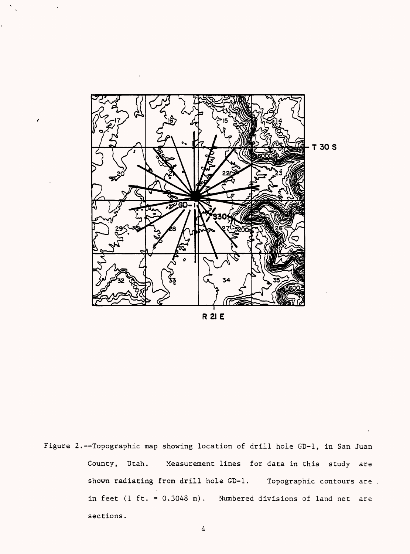

**R21E**

Figure 2.--Topographic map showing location of drill hole GD-1, in San Juan County, Utah. Measurement lines for data in this study are shown radiating from drill hole GD-1. Topographic contours are. in feet (1 ft. = 0.3048 m). Numbered divisions of land net are sections.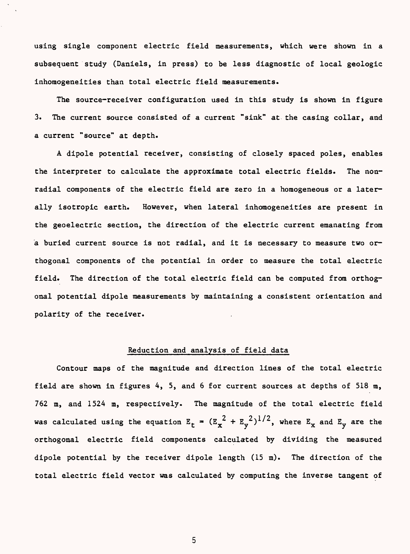using single component electric field measurements, which were shown in a subsequent study (Daniels, in press) to be less diagnostic of local geologic inhomogeneities than total electric field measurements.

The source-receiver configuration used in this study is shown in figure 3. The current source consisted of a current "sink" at the casing collar, and a current "source" at depth.

A dipole potential receiver, consisting of closely spaced poles, enables the interpreter to calculate the approximate total electric fields. The nonradial components of the electric field are zero in a homogeneous or a laterally isotropic earth. However, when lateral inhomogeneities are present in the geoelectric section, the direction of the electric current emanating from a buried current source is not radial, and it is necessary to measure two orthogonal components of the potential in order to measure the total electric field. The direction of the total electric field can be computed from orthogonal potential dipole measurements by maintaining a consistent orientation and polarity of the receiver.

# Reduction and analysis of field data

Contour maps of the magnitude and direction lines of the total electric field are shown in figures 4, 5, and 6 for current sources at depths of 518 m, 762 m, and 1524 m, respectively. The magnitude of the total electric field was calculated using the equation  $E_t = (E_x^2 + E_y^2)^{1/2}$ , where  $E_x$  and  $E_y$  are the orthogonal electric field components calculated by dividing the measured dipole potential by the receiver dipole length (15 m). The direction of the total electric field vector was calculated by computing the inverse tangent of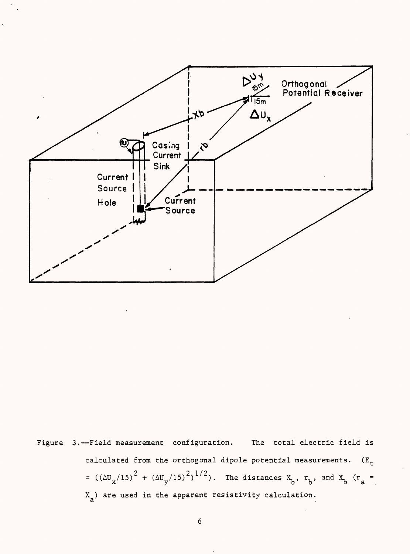

Figure 3.--Field measurement configuration. The total electric field is calculated from the orthogonal dipole potential measurements.  $(E_r)$ =  $((\Delta U_x/15)^2 + (\Delta U_y/15)^2)^{1/2})$ . The distances  $X_b$ ,  $r_b$ , and  $X_b$  ( $r_a$  = a  $\mathbf{X}_{\mathbf{a}}$ ) are used in the apparent resistivity calculation.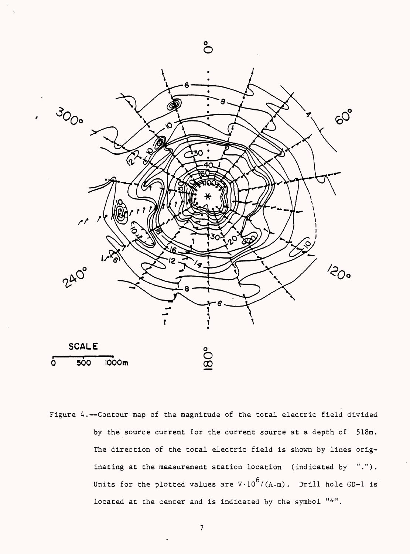

Figure 4.--Contour map of the magnitude of the total electric field divided by the source current for the current source at a depth of 518m. The direction of the total electric field is shown by lines originating at the measurement station location (indicated by "."). Units for the plotted values are  $V \cdot 10^{6} / (A \cdot m)$ . Drill hole GD-1 is located at the center and is indicated by the symbol "\*".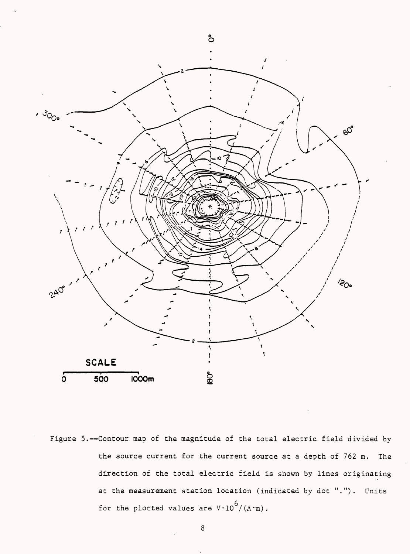

Figure 5.--Contour map of the magnitude of the total electric field divided by the source current for the current source at a depth of 762 m. The direction of the total electric field is shown by lines originating at the measurement station location (indicated by dot "."). Units for the plotted values are  $V \cdot 10^{6} / (A \cdot m)$ .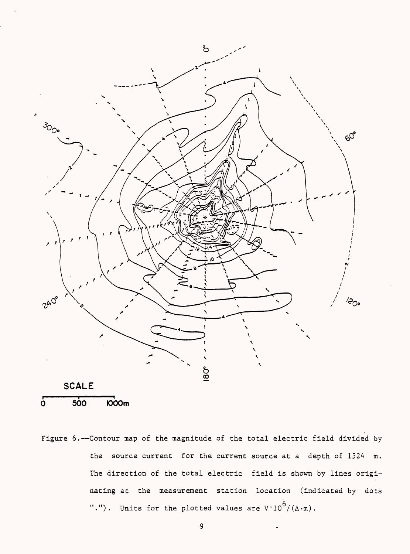



Figure 6.--Contour map of the magnitude of the total electric field divided by the source current for the current source at a depth of 1524 m. The direction of the total electric field is shown by lines originating at the measurement station location (indicated by dots "."). Units for the plotted values are  $V \cdot 10^{6} / (A \cdot m)$ .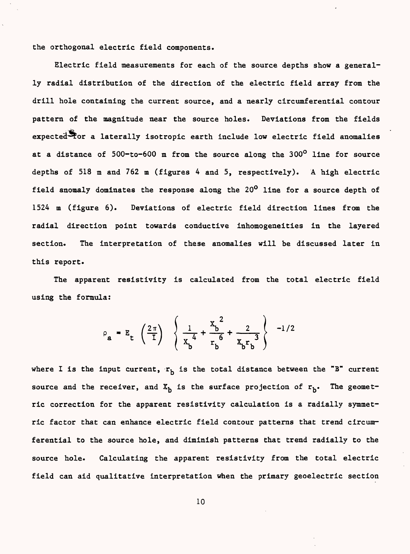the orthogonal electric field components.

Electric field measurements for each of the source depths show a generally radial distribution of the direction of the electric field array from the drill hole containing the current source, and a nearly circumferential contour pattern of the magnitude near the source holes. Deviations from the fields  $e$ xpected $\blacktriangleright$ or a laterally isotropic earth include low electric field anomalies at a distance of 500-to-600 m from the source along the 300° line for source depths of 518 m and 762 m (figures 4 and 5, respectively). A high electric field anomaly dominates the response along the  $20^{\circ}$  line for a source depth of 1524 m (figure 6). Deviations of electric field direction lines from the radial direction point towards conductive inhomogeneities in the layered section. The interpretation of these anomalies will be discussed later in this report.

The apparent resistivity is calculated from the total electric field using the formula:

$$
\rho_{a} = E_{t} \left( \frac{2 \pi}{I} \right) \left\{ \frac{1}{x_{b}^{4}} + \frac{x_{b}^{2}}{r_{b}^{6}} + \frac{2}{x_{b}r_{b}^{3}} \right\} -1/2
$$

where I is the input current,  $r_h$  is the total distance between the "B" current source and the receiver, and  $X_h$  is the surface projection of  $r_h$ . The geometric correction for the apparent resistivity calculation is a radially symmetric factor that can enhance electric field contour patterns that trend circumferential to the source hole, and diminish patterns that trend radially to the source hole. Calculating the apparent resistivity from the total electric field can aid qualitative interpretation when the primary geoelectric section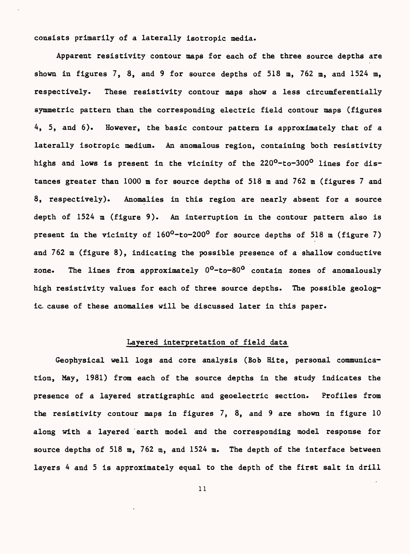consists primarily of a laterally isotropic media.

Apparent resistivity contour maps for each of the three source depths are shown in figures 7, 8, and 9 for source depths of 518 m, 762 m, and 1524 m, respectively. These resistivity contour maps show a less circumferentially symmetric pattern than the corresponding electric field contour maps (figures 4, 5, and 6). However, the basic contour pattern is approximately that of a laterally isotropic medium. An anomalous region, containing both resistivity highs and lows is present in the vicinity of the 220<sup>0</sup>-to-300<sup>0</sup> lines for distances greater than 1000 m for source depths of 518 m and 762 m (figures 7 and 8, respectively). Anomalies in this region are nearly absent for a source depth of 1524 m (figure 9). An interruption in the contour pattern also is present in the vicinity of  $160^0$ -to-200<sup>0</sup> for source depths of 518 m (figure 7) and 762 m (figure 8), indicating the possible presence of a shallow conductive zone. The lines from approximately  $0^0$ -to-80 $^0$  contain zones of anomalously high resistivity values for each of three source depths. The possible geologic, cause of these anomalies will be discussed later in this paper.

# Layered interpretation of field data

Geophysical well logs and core analysis (Bob Kite, personal communication, May, 1981) from each of the source depths in the study indicates the presence of a layered stratigraphic and geoelectric section. Profiles from the resistivity contour maps in figures 7, 8, and 9 are shown in figure 10 along with a layered earth model and the corresponding model response for source depths of 518 m, 762 m, and 1524 m. The depth of the interface between layers 4 and 5 is approximately equal to the depth of the first salt in drill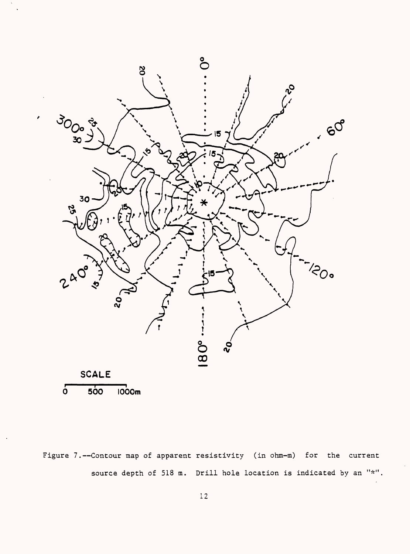

Figure 7.--Contour map of apparent resistivity (in ohm-m) for the current source depth of 518 m. Drill hole location is indicated by an "\*".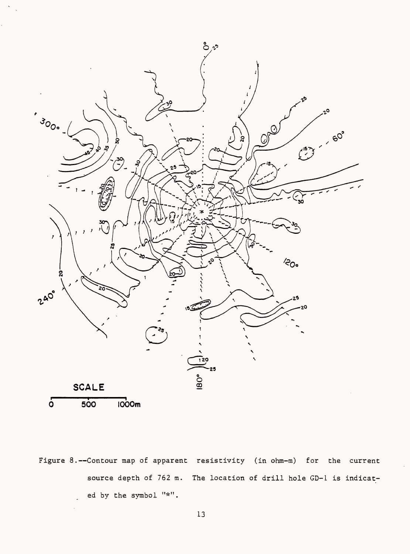

Figure 8.--Contour map of apparent resistivity (in ohm-m) for the current source depth of 762 m. The location of drill hole GD-1 is indicated by the symbol "\*".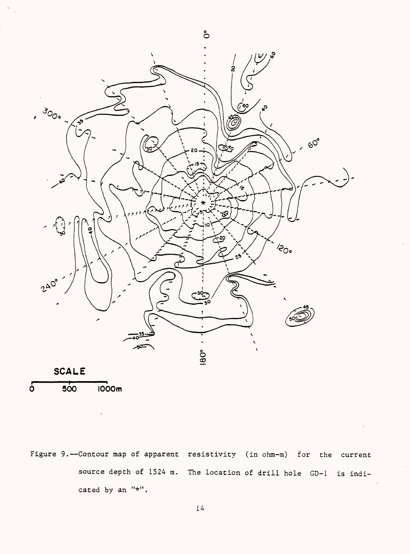



Figure 9.--Contour map of apparent resistivity (in ohm-m) for the current source depth of 1524 m. The location of drill hole GD-1 is indicated by an "\*".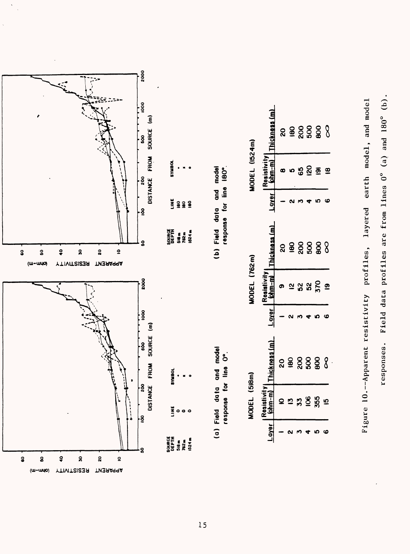



**L**<sub>5</sub>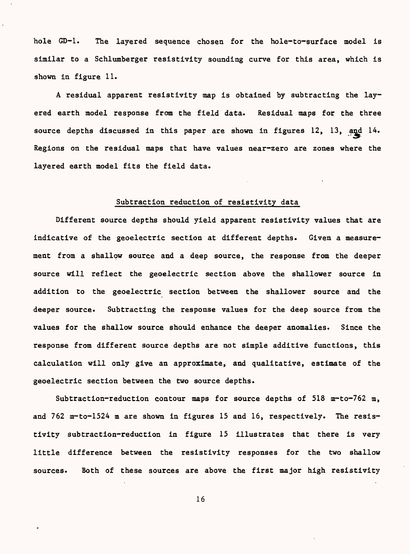hole GD-1. The layered sequence chosen for the hole-to-surface model is similar to a Schlumberger resistivity sounding curve for this area, which is shown in figure 11.

A residual apparent resistivity map is obtained by subtracting the layered earth model response from the field data. Residual maps for the three source depths discussed in this paper are shown in figures 12, 13, and 14. Regions on the residual maps that have values near-zero are zones where the layered earth model fits the field data.

### Subtraction reduction of resistivity data

Different source depths should yield apparent resistivity values that are indicative of the geoelectric section at different depths. Given a measurement from a shallow source and a deep source, the response from the deeper source will reflect the geoelectric section above the shallower source in addition to the geoelectric section between the shallower source and the deeper source. Subtracting the response values for the deep source from the values for the shallow source should enhance the deeper anomalies. Since the response from different source depths are not simple additive functions, this calculation will only give an approximate, and qualitative, estimate of the geoelectric section between the two source depths.

Subtraction-reduction contour maps for source depths of 518 m-to-762 m, and 762 m-to-1524 m are shown in figures 15 and 16, respectively. The resistivity subtraction-reduction in figure 15 illustrates that there is very little difference between the resistivity responses for the two shallow sources. Both of these sources are above the first major high resistivity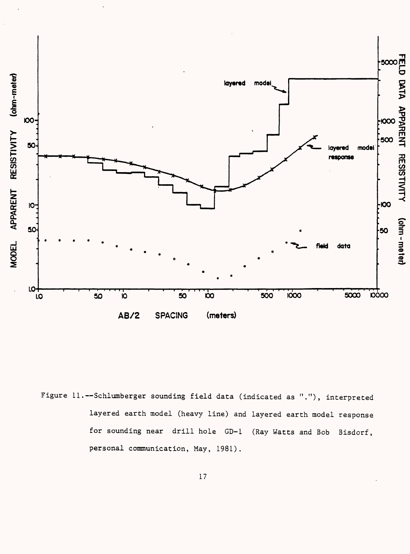

Figure 11.--Schlumberger sounding field data (indicated as "."), interpreted layered earth model (heavy line) and layered earth model response for sounding near drill hole GD-1 (Ray Watts and Bob Bisdorf, personal communication, May, 1981).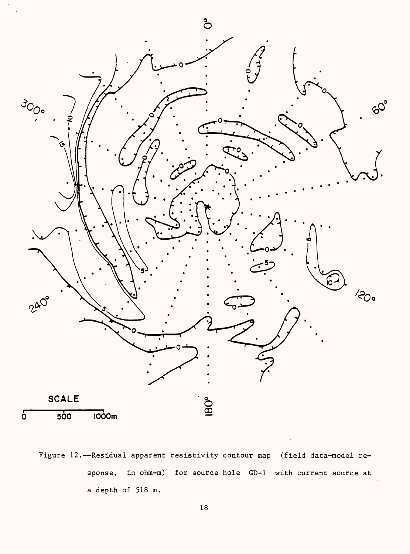

Figure 12.--Residual apparent resistivity contour map (field data-model response, in ohm-m) for source hole GD-1 with current source at a depth of 518 m.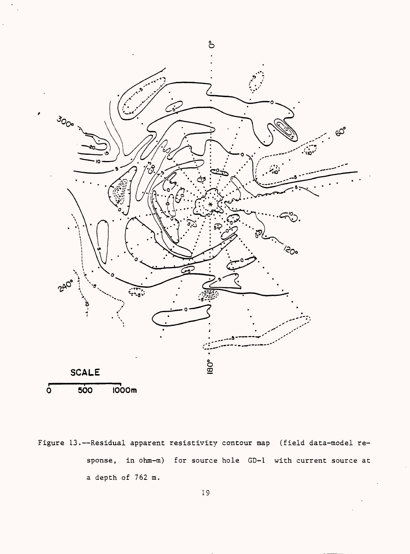

Figure 13.--Residual apparent resistivity contour map (field data-model response, in ohm-m) for source hole GD-1 with current source at a depth of 762 m.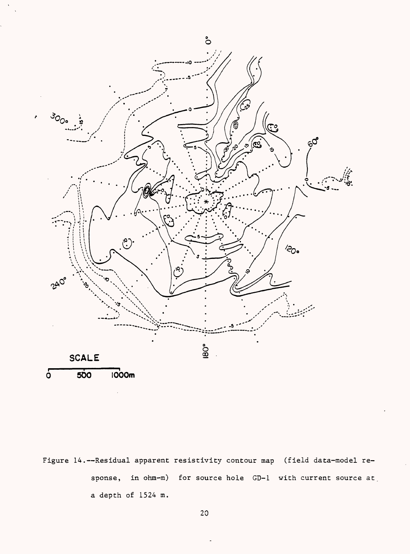

Figure 14.--Residual apparent resistivity contour map (field data-model response, in ohm-m) for source hole GD-1 with current source at a depth of 1524 m.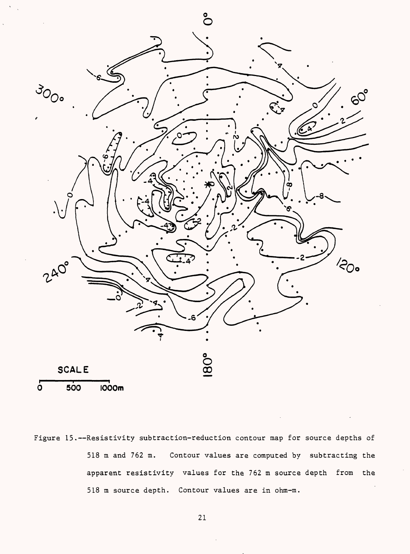

Figure 15.--Resistivity subtraction-reduction contour map for source depths of 518 m and 762 m. Contour values are computed by subtracting the apparent resistivity values for the 762 m source depth from the 518 m source depth. Contour values are in ohm-m.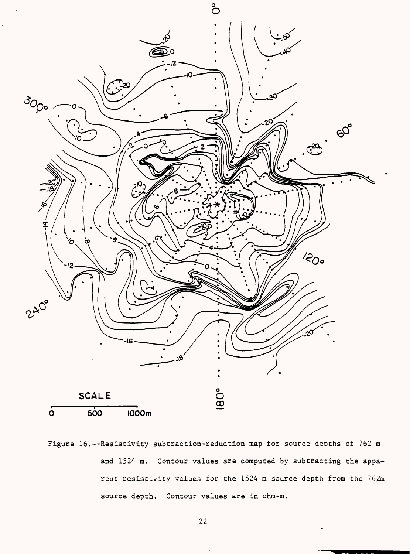

Figure 16.--Resistivity subtraction-reduction map for source depths of 762 m and 1524 m. Contour values are computed by subtracting the apparent resistivity values for the 1524 m source depth from the 762m source depth. Contour values are in ohm-m.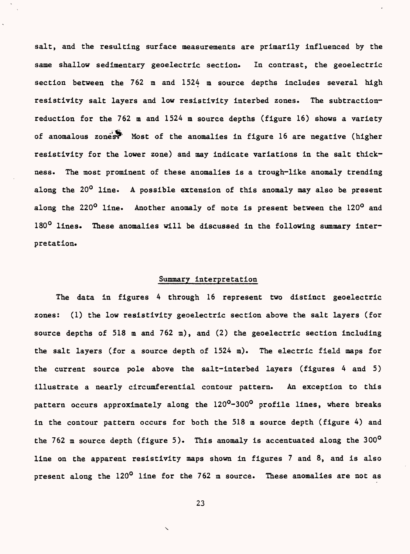salt, and the resulting surface measurements are primarily influenced by the same shallow sedimentary geoelectric section. In contrast, the geoelectric section between the 762 m and 1524 m source depths includes several high resistivity salt layers and low resistivity interbed zones. The subtractionreduction for the 762 m and 1524 m source depths (figure 16) shows a variety of anomalous zones? Most of the anomalies in figure 16 are negative (higher resistivity for the lower zone) and may indicate variations in the salt thickness. The most prominent of these anomalies is a trough-like anomaly trending along the 20<sup>0</sup> line. A possible extension of this anomaly may also be present along the 220<sup>0</sup> line. Another anomaly of note is present between the 120<sup>0</sup> and 180° lines. These anomalies will be discussed in the following summary interpretation.

# Summary interpretation

The data in figures 4 through 16 represent two distinct geoelectric zones: (1) the low resistivity geoelectric section above the salt layers (for source depths of 518 m and 762 m), and (2) the geoelectric section including the salt layers (for a source depth of 1524 m). The electric field maps for the current source pole above the salt-interbed layers (figures 4 and 5) illustrate a nearly circumferential contour pattern. An exception to this pattern occurs approximately along the 120<sup>0</sup>-300<sup>0</sup> profile lines, where breaks in the contour pattern occurs for both the 518 m source depth (figure 4) and the 762 m source depth (figure 5). This anomaly is accentuated along the  $300^{\circ}$ line on the apparent resistivity maps shown in figures 7 and 8, and is also present along the 120<sup>0</sup> line for the 762 m source. These anomalies are not as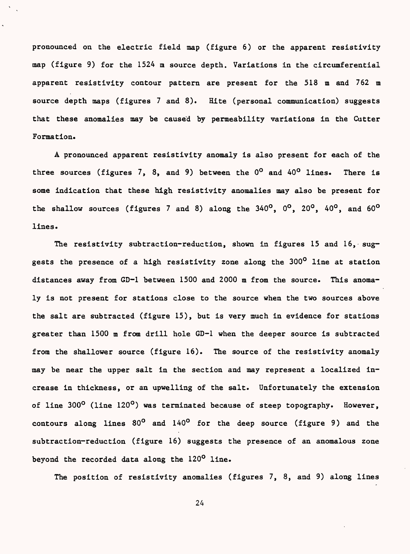pronounced on the electric field map (figure 6) or the apparent resistivity map (figure 9) for the 1524 m source depth. Variations in the circumferential apparent resistivity contour pattern are present for the 518 m and 762 m source depth maps (figures 7 and 8). Hite (personal communication) suggests that these anomalies may be caused by permeability variations in the Cutter Formation.

A pronounced apparent resistivity anomaly is also present for each of the three sources (figures 7, 8, and 9) between the  $0^{\circ}$  and  $40^{\circ}$  lines. There is some indication that these high resistivity anomalies may also be present for the shallow sources (figures 7 and 8) along the  $340^{\circ}$ ,  $0^{\circ}$ ,  $20^{\circ}$ ,  $40^{\circ}$ , and  $60^{\circ}$ lines.

The resistivity subtraction-reduction, shown in figures 15 and 16, suggests the presence of a high resistivity zone along the 300<sup>0</sup> line at station distances away from GD-1 between 1500 and 2000 m from the source. This anomaly is not present for stations close to the source when the two sources above the salt are subtracted (figure 15), but is very much in evidence for stations greater than 1500 m from drill hole GD-1 when the deeper source is subtracted from the shallower source (figure 16). The source of the resistivity anomaly may be near the upper salt in the section and may represent a localized increase in thickness, or an upwelling of the salt. Unfortunately the extension of line 300<sup>o</sup> (line 120<sup>o</sup>) was terminated because of steep topography. However, contours along lines  $80^{\circ}$  and  $140^{\circ}$  for the deep source (figure 9) and the subtraction-reduction (figure 16) suggests the presence of an anomalous zone beyond the recorded data along the 120° line.

The position of resistivity anomalies (figures 7, 8, and 9) along lines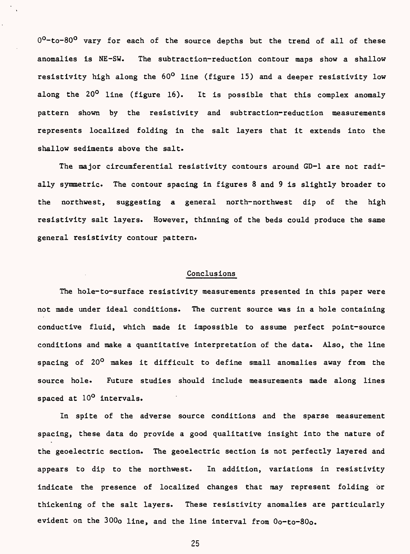$0^0$ -to-80<sup>0</sup> vary for each of the source depths but the trend of all of these anomalies is NE-SW. The subtraction-reduction contour maps show a shallow resistivity high along the  $60^{\circ}$  line (figure 15) and a deeper resistivity low along the 20<sup>0</sup> line (figure 16). It is possible that this complex anomaly pattern shown by the resistivity and subtraction-reduction measurements represents localized folding in the salt layers that it extends into the shallow sediments above the salt.

The major circumferential resistivity contours around GD-1 are not radially symmetric. The contour spacing in figures 8 and 9 is slightly broader to the northwest, suggesting a general north-northwest dip of the high resistivity salt layers. However, thinning of the beds could produce the same general resistivity contour pattern.

# Conclusions

The hole-to-surface resistivity measurements presented in this paper were not made under ideal conditions. The current source was in a hole containing conductive fluid, which made it impossible to assume perfect point-source conditions and make a quantitative interpretation of the data. Also, the line spacing of 20<sup>0</sup> makes it difficult to define small anomalies away from the source hole. Future studies should include measurements made along lines spaced at 10<sup>o</sup> intervals.

In spite of the adverse source conditions and the sparse measurement spacing, these data do provide a good qualitative insight into the nature of the geoelectric section. The geoelectric section is not perfectly layered and appears to dip to the northwest. In addition, variations in resistivity indicate the presence of localized changes that may represent folding or thickening of the salt layers. These resistivity anomalies are particularly evident on the 300o line, and the line interval from Oo-to-80o.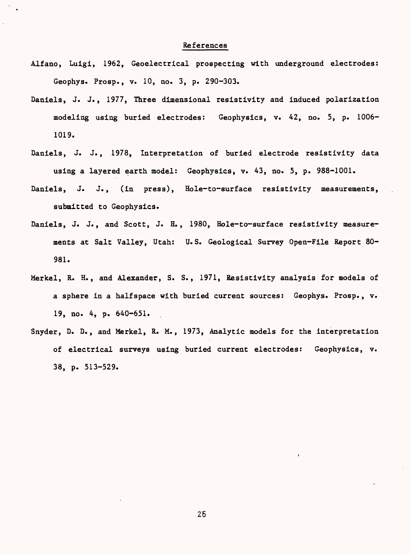# References

- Alfano, Luigi, 1962, Geoelectrical prospecting with underground electrodes: Geophys. Prosp., v. 10, no. 3, p. 290-303.
- Daniels, J. J., 1977, Three dimensional resistivity and induced polarization modeling using buried electrodes: Geophysics, v. 42, no. 5, p. 1006- 1019.
- Daniels, J. J., 1978, Interpretation of buried electrode resistivity data using a layered earth model: Geophysics, v. 43, no. 5, p. 988-1001.
- Daniels, J. J., (in press), Hole-to-surface resistivity measurements, submitted to Geophysics.
- Daniels, J. J., and Scott, J. H., 1980, Hole-to-surface resistivity measurements at Salt Valley, Utah: U.S. Geological Survey Open-File Report 80- 981.
- Merkel, R. H., and Alexander, S. S., 1971, Resistivity analysis for models of a sphere in a halfspace with buried current sources: Geophys. Prosp., v. 19, no. 4, p. 640-651.
- Snyder, D. D., and Merkel, R. M., 1973, Analytic models for the interpretation of electrical surveys using buried current electrodes: Geophysics, v. 38, p. 513-529.